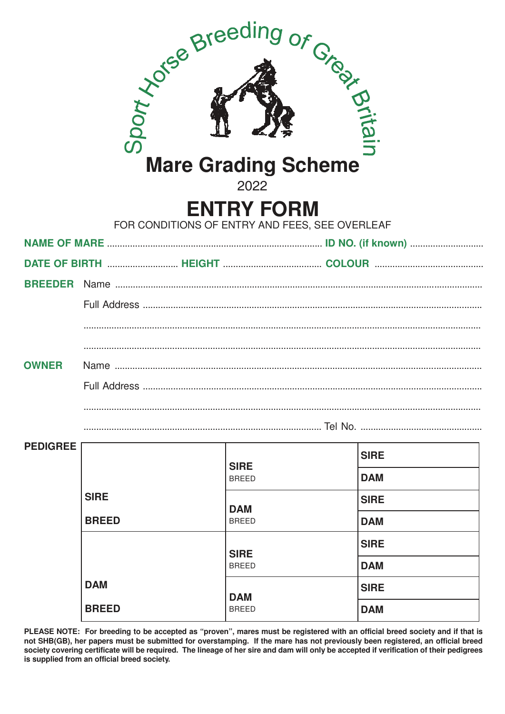|                                                                     |              | Society of Streeding or Creek<br><b>Mare Grading Scheme</b><br>2022 |             |  |  |  |  |
|---------------------------------------------------------------------|--------------|---------------------------------------------------------------------|-------------|--|--|--|--|
| <b>ENTRY FORM</b><br>FOR CONDITIONS OF ENTRY AND FEES, SEE OVERLEAF |              |                                                                     |             |  |  |  |  |
|                                                                     |              |                                                                     |             |  |  |  |  |
|                                                                     |              |                                                                     |             |  |  |  |  |
| <b>BREEDER</b>                                                      |              |                                                                     |             |  |  |  |  |
|                                                                     |              |                                                                     |             |  |  |  |  |
|                                                                     |              |                                                                     |             |  |  |  |  |
|                                                                     |              |                                                                     |             |  |  |  |  |
| <b>OWNER</b>                                                        |              |                                                                     |             |  |  |  |  |
|                                                                     |              |                                                                     |             |  |  |  |  |
|                                                                     |              |                                                                     |             |  |  |  |  |
|                                                                     |              |                                                                     |             |  |  |  |  |
| <b>PEDIGREE</b>                                                     |              |                                                                     | <b>SIRE</b> |  |  |  |  |
|                                                                     |              | <b>SIRE</b><br><b>BREED</b>                                         | <b>DAM</b>  |  |  |  |  |
|                                                                     | <b>SIRE</b>  |                                                                     | <b>SIRE</b> |  |  |  |  |
|                                                                     | <b>BREED</b> | <b>DAM</b><br><b>BREED</b>                                          | <b>DAM</b>  |  |  |  |  |
|                                                                     |              |                                                                     | <b>SIRE</b> |  |  |  |  |
|                                                                     |              | <b>SIRE</b><br><b>BREED</b>                                         | <b>DAM</b>  |  |  |  |  |
|                                                                     | <b>DAM</b>   |                                                                     | <b>SIRE</b> |  |  |  |  |
|                                                                     | <b>BREED</b> | <b>DAM</b><br><b>BREED</b>                                          | <b>DAM</b>  |  |  |  |  |
|                                                                     |              |                                                                     |             |  |  |  |  |

PLEASE NOTE: For breeding to be accepted as "proven", mares must be registered with an official breed society and if that is not SHB(GB), her papers must be submi **PLEASE NOTE: For breeding to be accepted as "proven", mares must be registered with an official breed society and if that is not SHB(GB), her papers must be submitted for overstamping. lf the mare has not previously been registered, an official breed society covering certificate will be required. The lineage of her sire and dam will only be accepted if verification of their pedigrees is supplied from an official breed society.**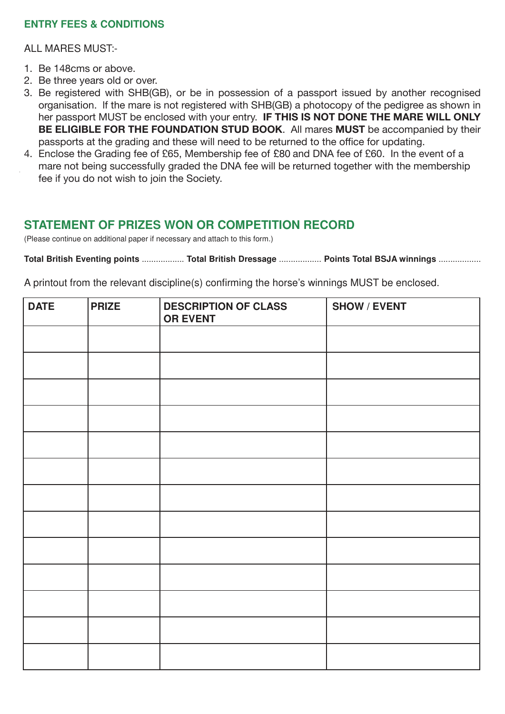#### **ENTRY FEES & CONDITIONS**

ALL MARES MUST:-

- 1. Be 148  $\sigma$  above. 1. Be 148cms or above.
- 2. Be three years old or over. 2. Be three years old or over.
- 3. Be registered with SHB(GB), or be in possession of a passport issued by another recognised organisation. If the mare is not registered with SHB(GB) a photocopy of the pedigree as shown in<br>
In THE PONE THE LANDEL COULD ICI PASSPORT MOST <del>be choosed with your chily. IF THIS IS NOT DONE THE MANE WILL ONET</del> **BE ELIGIBLE FOR THE FOUNDATION STUD BOOK.** All mares **MUST** be accompanied by their passports at the grading and these will need to be returned to the onice for updating.<br>A Exclose the Oxellian for a f OOE Mandametic for a f OOO and DNA for af OOO, had be seen to for her passport MUST be enclosed with your entry. **IF THIS IS NOT DONE THE MARE WILL ONLY**  passports at the grading and these will need to be returned to the office for updating.
- updating. mare not being successfully graded the DNA fee will be returned together with the membership fee if you do not wish to join the Society. 4. Enclose the Grading fee of £65, Membership fee of £80 and DNA fee of £60. In the event of a

# **STATEMENT OF PRIZES WON OR COMPETITION RECORD**

(Please continue on additional paper if necessary and attach to this form.)

**Total British Eventing points** .................. **Total British Dressage** .................. **Points Total BSJA winnings** ..................

A printout from the relevant discipline(s) confirming the horse's winnings MUST be enclosed.

| <b>DATE</b> | <b>PRIZE</b> | <b>DESCRIPTION OF CLASS</b><br><b>OR EVENT</b> | <b>SHOW / EVENT</b> |  |
|-------------|--------------|------------------------------------------------|---------------------|--|
|             |              |                                                |                     |  |
|             |              |                                                |                     |  |
|             |              |                                                |                     |  |
|             |              |                                                |                     |  |
|             |              |                                                |                     |  |
|             |              |                                                |                     |  |
|             |              |                                                |                     |  |
|             |              |                                                |                     |  |
|             |              |                                                |                     |  |
|             |              |                                                |                     |  |
|             |              |                                                |                     |  |
|             |              |                                                |                     |  |
|             |              |                                                |                     |  |